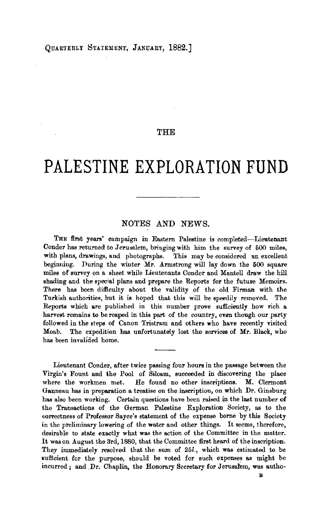## THE

## **PALESTINE EXPLORATION FUND**

## NOTES AND NEWS.

THE first years' campaign in Eastern Palestine is completed-Lieutenant Conder has returned to Jerusalem, bringing with him the survey of 600 miles, with plans, drawings, and photographs. This may be considered an excellent beginning. During the winter Mr. Armstrong will lay down the 600 square miles of survey on a sheet while Lieutenants Conder and Mantell draw the hill shading and the special plans and prepare the Reports for the future Memoirs. There has been difficulty about the validity of the old Firman with the Turkish authorities, but it is hoped that this will be speedily removed. The Reports which are published in this number prove sufficiently how rich a harvest remains to be reaped in this part of the country, even though our party followed in the steps of Canon Tristram and others who have recently visited Moab. The expedition has unfortunately lost the services of Mr. Black, who has been invallded home.

Lieutenant Conder, after twice passing four hours in the passage between the Virgin's Fount and the Pool of Siloam, succeeded in discovering the place where the workmen met. He found no other inscriptions. M. Clermont Ganneau has in preparation a treatise on the inscription, on which Dr. Ginsburg has also been working. Certain questions have been raised in the last number of the Transactions of the German Palestine Exploration Society, as to the correctness of Professor Sayce's statement of the expense borne by this Society in the preliminary lowering of the water and other things. It seems, therefore, desirable to state exactly what was the action of the Committee in the matter. It was on August the 3rd, 1880, that the Committee first heard of the inscription. They immediately resolved that the sum of 25l., which was estimated to be sufficient for the purpose, should be voted for such expenses as might be incurred; and Dr. Chaplin, the Honorary Secretary for Jerusalem, was autho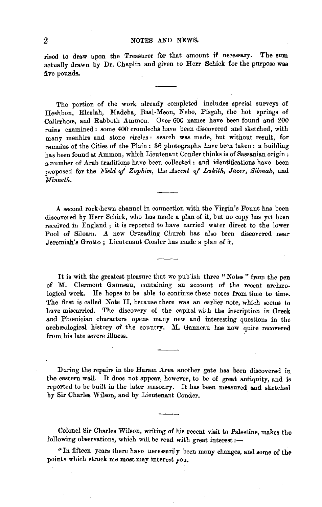rised to draw upon the Treasurer for that amount if necessary. The sum actually drawn by Dr. Chaplin and given to Herr Schick for the purpose was five pounds.

The portion of the work already completed includes special surveys of Heshbou, Elealah, Madeba, Baal-Meon, Nebo, Pisgah, the hot springs of Calirrhow, and Rabboth Ammon. Over 600 names have been found and 200 ruins examined : some 400 cromlechs have been discovered and sketched, with many menhirs and stone circles: search was made, but without result, for remains of the Cities of the Plain : 36 photographs have been taken : a building has been found at Ammon, which Lieutenant Oonder thinks is of Sassanian origin : a number of Arab traditions have been collected : and identifications have been proposed for the *Field* of *Zophim,* the *Ascent of Luhith, Jazer, Sibmah,* and *Minneth.* 

A second rock· hewn channel in connection with the Virgin's Fount has been discovered by Herr Schick, who has made a plan of it, but no copy has yet. been received in England ; it is reported to have carried water direct to the lower Pool of Siloam. A new Crusading Church has also been discovered near Jeremiah's Grotto; Lieutenant Conder has made a plan of it.

It is with the greatest pleasure that we publish three "Notes" from the pen of M. Clermont Ganneau, containing an account of the recent archaeological work. He hopes to be able to continue these notes from time to time. The first is called Note II, because there was an earlier note, which seems to have miscarried. The discovery of the capital with the inscription in Greek and Phœnician characters opens many new and interesting questions in the archreological history of the country. M. Gannou has now quite recovered from his late severe illness.

During the repairs in the Haram Area another gate has been discovered in the eastern wall. It does not appear, however, to be of great antiquity, and is reported to be built in the later masonry. It has been measured and sketched by Sir Charles Wilson, and by Lieutenant Conder.

Colonel Sir Charles Wilson, writing of his recent visit to Palestine, makes the pollowing observations, which will be read with great interest  $\cdot$ following observations, which will be read with great interest :--<br>"In fifteen years there have necessarily been many changes, and some of the

points which struck n:e most may interest you.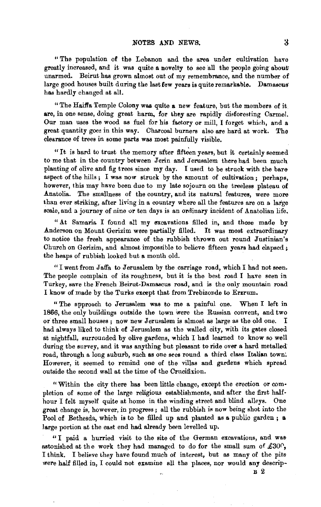" The population of the Lebanon and the area under cultivation have greatly increased, and it was quite a novelty to see all the people going about unarmed. Beirut has grown almost out of my remembrance, and the number of large good houses built during the last few years is quite remarkable. Damascus has hardly changed at all.

"The Haiffa Temple Colony was quite a new feature, but the members of it are, in one sense, doing great harm, for they are rapidly disforesting Carmel. Our man uses the wood as fuel for his factory or mill, I forget which, and a great quantity goes in this way. Charcoal burners also are hard at work. The clearance of trees in some parts was most painfully visible.

"It is hard to trust the memory after fifteen years, but it certainly seemed to me that in the country between Jerin and Jerusalem there had been much planting of olive and fig trees since my day. I used to be struck with the bare aspect of the hills ; I was now struck by the amount of cultivation ; perhaps, however, this may have been due to my late sojourn on the treeless plateau of Anatolia. The smallness of the country, and its natural features, were more than ever striking, after living in a country where all the features are on a large scale, and a journey of nine or ten days is an ordinary incident of Anatolian life.

"At Samaria I found all my excavations filled in, and those made by Anderson on Mount Gerizim were partially filled. It was most extraordinary to notice the fresh appearance of the rubbish thrown out round Justinian's Church on Gerizim, and almost impossible to believe fifteen years had elapsed; the heaps of rubbish looked but a month old.

"I went from Jaffa to Jerusalem by the carriage road, which I had not seen. The people complain of its roughness, but it is the best road I have seen in Turkey, save the French Beirut-Damascus road, and is the only mountain road I know of made by the Turks except that from Trebizonde to Erzrum.

" The opproach to Jerusalem was to me a painful one. When I left in 1866, the only buildings outside the town were the Russian convent, and two or three small houses; now new Jerusalem is almost as large as the old one. I had always liked to think of Jerusalem as the walled city, with its gates closed at nightfall, surrounded by olive gardens, which I had learned to know so well during the survey, and it was anything but pleasant to ride over a hard metalled· road, through a long suburb, such as one sees round a third class Italian town. However, it seemed to remind one of the villas and gardens which spread outside the second wall at the time of the Crucifixion.

"Within the city there has been little change, except the erection or completion of some of the large religious establishments, and after the first halfhour I felt myself quite at home in the winding street and blind alleys. One great change is, however, in progress ; all the rubbish is now being shot into the Pool of Bethesda, which is to be filled up and planted as a public garden; a large portion at the east end had already been levelled up.

" I paid a hurried visit to the site of the German excavations, and was astonished at the work they had managed to do for the small sum of  $£30\degree$ , I think. I believe they have found much of interest, but as many of the pits' were half filled in, I could not examine all the places, nor would any descrip-<br>B 2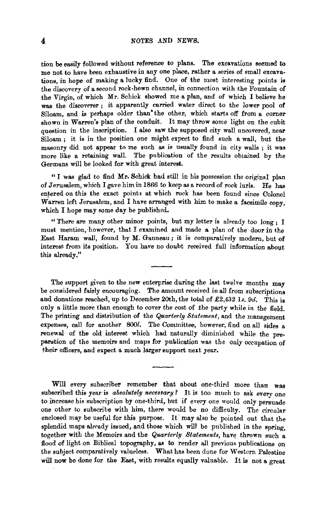tion be easily followed without reference to plans. The excavations seemed to me not to have been exhaustive in any one place, rather a series of small excava: tions, in hope of making a lucky find. One of the most interesting points is the discovery of a second rock-hewn channel, in connection with the Fountain of the Virgin, of which Mr. Schick showed me a plan, and of which I believe he was the discoverer ; it apparently carried water direct to the lower pool of Simulation, and is perhaps older than • the other, which starts off from a corner local perhaps older than • the other, which starts off from a corner in Warren's plan of the conduit. shown in Warren's plan of the conduit. It may throw some light on the cubit question in the inscription. I also saw the supposed city wall uncovered, near Siloam ; it is in the position one might expect to find such a wall, but the masonry did not appear to me such as is usually found in city walls ; it was more like a retaining wall. The publication of the results obtained by the Germans will be looked for with great interest.

"I was glad to find Mr. Schick had still in his possession the original plan of Jerusalem, which I gave him in 1866 to keep as a record of rock lurls.  $He$  has entered on this the exact points at which rock has been found since Colonel Warren left Jerusalem, and I have arranged with him to make a facsimile copy, which I hope may some day be published.

"There are many other minor points, but my letter is already too long; I must mention, however, that I examined and made a plan of the door in the East Haram wall, found by M. Ganneau ; it is comparatively modern, but of interest from its position. You have no doubt received full information about this already."

The support given to the new enterprise during the last twelve months may be considered fairly encouraging. The amount received in all from subscriptions and donations reached, up to December 20th, the total of £2,432 ls. 9d. This is only a little more than enough to cover the cost of the party while in the field. The printing and distribution of the *Quarterly Statement,* and the management expenses, call for another *800l*. The Committee, however, find on all sides a renewal of the old interest which had naturally diminished while the preparties of the memoirs and maps for publication was the only of the only of the only of the only of the only of table in the memoirs and maps for publication was the

Will every subscriber remember that about one-third more than was subscribed this year is *absolutely necessary?* It is too much to ask every one to increase his subscription by one-third, but if every one would only persuade one other to subscribe with him, there would be no difficulty. The circular enclosed may be useful for this purpose. It may also be pointed out that the splendid maps already issued, and those which will be published in the spring, together with the Memoirs and the *Quarterly Statements,* have thrown such a flood of light on Biblical topography, as to render all previous publications on the subject comparatively valueless. What has been done for Western Palestine will now be done for the East, with results equally valuable. It is not a great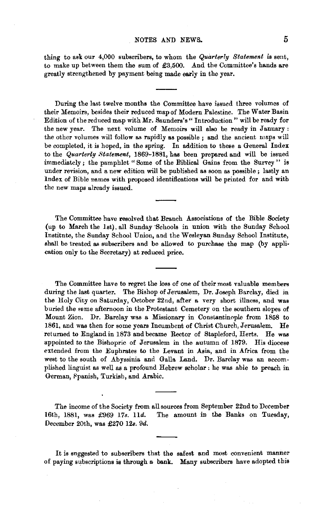## NOTES AND NEWS. 5

thing to ask our 4,000 subscribers, to whom the *Quarterly Statement* is sent, to make up between them the sum of £3,500. And the Committee's hands are greatly strengthened by payment being made early in the year.

During the last twelve months the Committee have issued three volumes of their Memoirs, besides their reduced map of Modern Palestine. The Water Basin Edition of the reduced map with Mr. Saunders's" Introduction" will be ready for the new year. The next volume of Memoirs will also be ready in January : the other volumes will follow as rapidly as possible; and the ancient maps will be completed, it is hoped, in the spring. In addition to these a General Index to the *Quarterly Statement,* 1869-1881, has been prepared and will be issued immediately; the pamphlet "Some of the Biblical Gains from the Survey " is under revision, and a new edition will be published as soon as possible ; lastly an lndex of Bible names with proposed identifications will be printed for and with the new maps already issued.

The Committee have resolved that Branch Associations of the Bible Society (up to March the 1st), all Sunday ·Schools in union with the Sunday School Institute, the Sunday School Union, and the Wesleyan Sunday School Institute, shall be treated as subscribers and be allowed to purchase the map (by appli· cation only to the Secretary) at reduced price.

The Committee have to regret the loss of one of their most valuable members during the last quarter. The Bishop of Jerusalem, Dr. Joseph Barclay, died in the Holy City on Saturday, October 22nd, after a very short illness, and was buried the 8ame afternoon in the Protestant Cemetery on the southern slopes of Mount Zion. Dr. Barclay was a Missionary in Constantinople from 1858 to 1861, and was then for some years Incumbent of Christ Church, Jerusalem. He returned to England in 1873 and became Rector of Stapleford, Herts. He was appointed to the Bishopric of Jerusalem in the autumn of 1879. His diocese extended from the Euphrates to the Levant in Asia, and in Africa from the west to the south of Abyssinia and Galla Land. Dr. Barclay was an aceom· plished linguist as well as a profound Hebrew scholar : he was able to preach in German, Fpanish, Turkish, and Arabic.

The income of the Society from all sources from September 22nd to December 16th, 1881, was £969 17s. 11d. The amount in the Banks on Tuesday, December 20th, was £270 12s. 9d.

It is suggested to subscribers that the safest and most convenient manner of paying subscriptions is through a bank. Many subscribers have adopted this